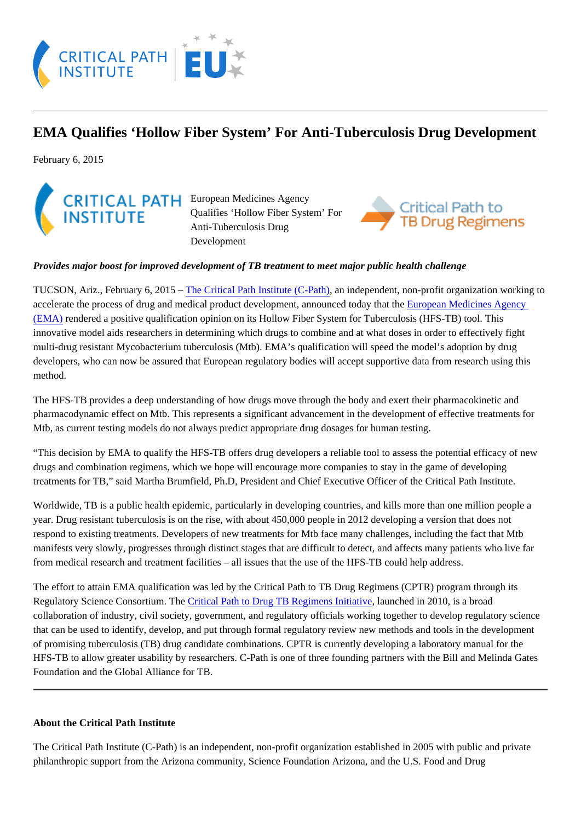## EMA Qualifies 'Hollow Fiber System' For Anti-Tuberculosis Drug Development

February 6, 2015

European Medicines Agency Qualifies 'Hollow Fiber System' For Anti-Tuberculosis Drug Development

Provides major boost for improved development of TB treatment to meet major public health challenge

TUCSON, Ariz., February 6, 2015 The Critical Path Institute (C-Pathin independent, non-profit organization working to accelerate the process of drug and medical product development, announced toda  $\mathsf{E}$  the beam Medicines Agency [\(EMA\)](http://www.ema.europa.eu/ema/) rendered a positive qualification opinion on its Hollow Fiber System for Tuberculosis (HFS-TB) tool. This innovative model aids researchers in determining which drugs to combine and at what doses in order to effectively fight multi-drug resistant Mycobacterium tuberculosis (Mtb). EMA's qualification will speed the model's adoption by drug developers, who can now be assured that European regulatory bodies will accept supportive data from research using thi method.

The HFS-TB provides a deep understanding of how drugs move through the body and exert their pharmacokinetic and pharmacodynamic effect on Mtb. This represents a significant advancement in the development of effective treatments for Mtb, as current testing models do not always predict appropriate drug dosages for human testing.

"This decision by EMA to qualify the HFS-TB offers drug developers a reliable tool to assess the potential efficacy of new drugs and combination regimens, which we hope will encourage more companies to stay in the game of developing treatments for TB," said Martha Brumfield, Ph.D, President and Chief Executive Officer of the Critical Path Institute.

Worldwide, TB is a public health epidemic, particularly in developing countries, and kills more than one million people a year. Drug resistant tuberculosis is on the rise, with about 450,000 people in 2012 developing a version that does not respond to existing treatments. Developers of new treatments for Mtb face many challenges, including the fact that Mtb manifests very slowly, progresses through distinct stages that are difficult to detect, and affects many patients who live far from medical research and treatment facilities – all issues that the use of the HFS-TB could help address.

The effort to attain EMA qualification was led by the Critical Path to TB Drug Regimens (CPTR) program through its Regulatory Science Consortium. The tical Path to Drug TB Regimens Initiative unched in 2010, is a broad collaboration of industry, civil society, government, and regulatory officials working together to develop regulatory science that can be used to identify, develop, and put through formal regulatory review new methods and tools in the developmer of promising tuberculosis (TB) drug candidate combinations. CPTR is currently developing a laboratory manual for the HFS-TB to allow greater usability by researchers. C-Path is one of three founding partners with the Bill and Melinda Gate Foundation and the Global Alliance for TB.

## About the Critical Path Institute

The Critical Path Institute (C-Path) is an independent, non-profit organization established in 2005 with public and private philanthropic support from the Arizona community, Science Foundation Arizona, and the U.S. Food and Drug